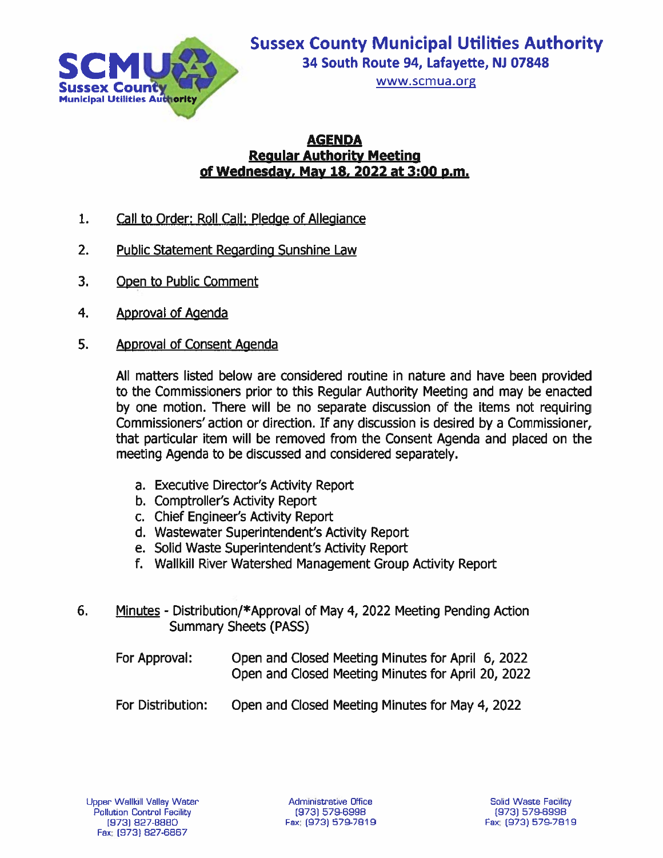

www.scmua.org

### **AGENDA Regular Authority Meeting** of Wednesday, May 18, 2022 at 3:00 p.m.

- $1.$ Call to Order: Roll Call: Pledge of Allegiance
- $2.$ **Public Statement Regarding Sunshine Law**
- $3<sub>1</sub>$ Open to Public Comment
- 4. **Approval of Agenda**
- 5. **Approval of Consent Agenda**

All matters listed below are considered routine in nature and have been provided to the Commissioners prior to this Regular Authority Meeting and may be enacted by one motion. There will be no separate discussion of the items not requiring Commissioners' action or direction. If any discussion is desired by a Commissioner, that particular item will be removed from the Consent Agenda and placed on the meeting Agenda to be discussed and considered separately.

- a. Executive Director's Activity Report
- b. Comptroller's Activity Report
- c. Chief Engineer's Activity Report
- d. Wastewater Superintendent's Activity Report
- e. Solid Waste Superintendent's Activity Report
- f. Wallkill River Watershed Management Group Activity Report
- 6. Minutes - Distribution/\*Approval of May 4, 2022 Meeting Pending Action **Summary Sheets (PASS)** 
	- For Approval: Open and Closed Meeting Minutes for April 6, 2022 Open and Closed Meeting Minutes for April 20, 2022
	- Open and Closed Meeting Minutes for May 4, 2022 For Distribution: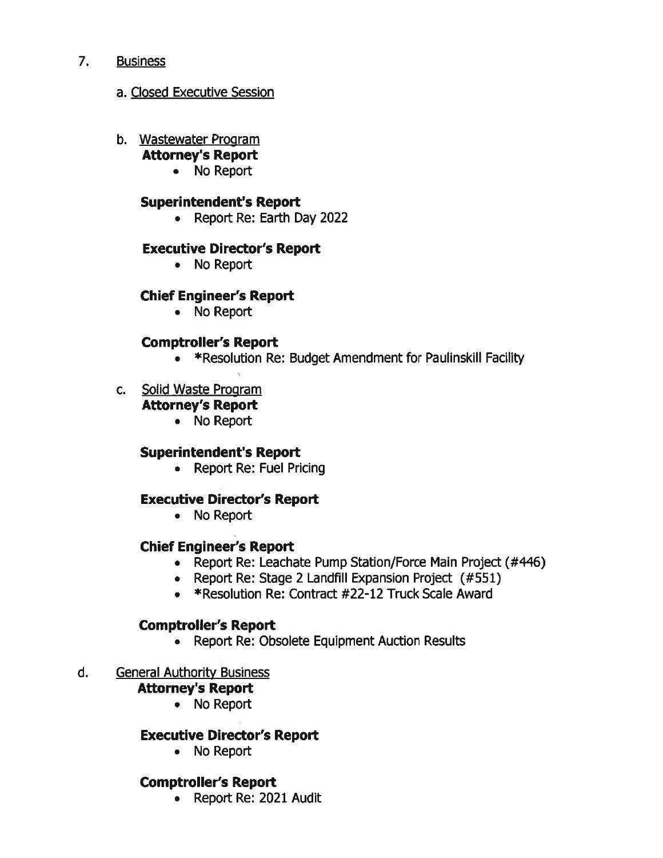#### $7.$ **Business**

### a. Closed Executive Session

- b. Wastewater Program
	- **Attorney's Report** 
		- No Report

### **Superintendent's Report**

• Report Re: Earth Day 2022

### **Executive Director's Report**

• No Report

### **Chief Engineer's Report**

• No Report

### **Comptroller's Report**

- \*Resolution Re: Budget Amendment for Paulinskill Facility
- c. Solid Waste Program

# **Attorney's Report**

• No Report

### **Superintendent's Report**

• Report Re: Fuel Pricing

### **Executive Director's Report**

• No Report

### **Chief Engineer's Report**

- Report Re: Leachate Pump Station/Force Main Project (#446)
- Report Re: Stage 2 Landfill Expansion Project (#551)
- \*Resolution Re: Contract #22-12 Truck Scale Award

### **Comptroller's Report**

• Report Re: Obsolete Equipment Auction Results

#### d. **General Authority Business**

### **Attorney's Report**

• No Report

### **Executive Director's Report**

• No Report

### **Comptroller's Report**

• Report Re: 2021 Audit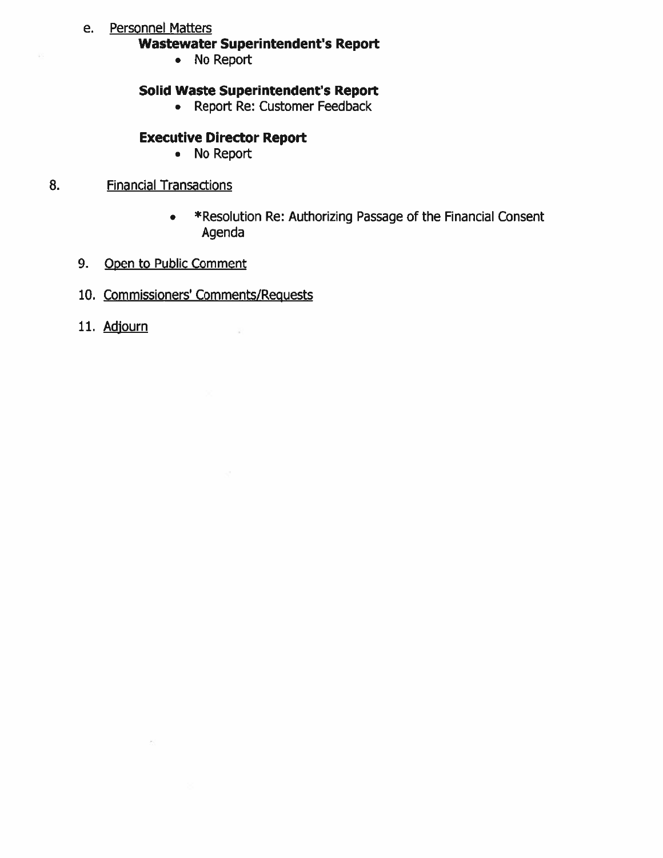### e. Personnel Matters

### **Wastewater Superintendent's Report**

• No Report

### **Solid Waste Superintendent's Report**

• Report Re: Customer Feedback

## **Executive Director Report**

• No Report

#### **Financial Transactions** 8.

- \*Resolution Re: Authorizing Passage of the Financial Consent Agenda
- 9. Open to Public Comment
- 10. Commissioners' Comments/Requests

 $\widetilde{\mathcal{R}}$ 

11. Adjourn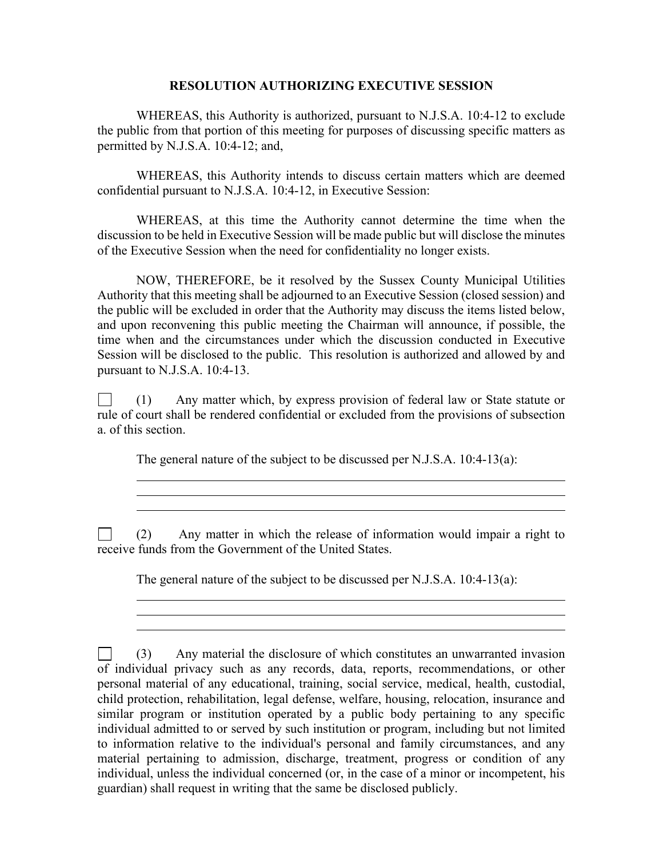### **RESOLUTION AUTHORIZING EXECUTIVE SESSION**

WHEREAS, this Authority is authorized, pursuant to N.J.S.A. 10:4-12 to exclude the public from that portion of this meeting for purposes of discussing specific matters as permitted by N.J.S.A. 10:4-12; and,

WHEREAS, this Authority intends to discuss certain matters which are deemed confidential pursuant to N.J.S.A. 10:4-12, in Executive Session:

WHEREAS, at this time the Authority cannot determine the time when the discussion to be held in Executive Session will be made public but will disclose the minutes of the Executive Session when the need for confidentiality no longer exists.

NOW, THEREFORE, be it resolved by the Sussex County Municipal Utilities Authority that this meeting shall be adjourned to an Executive Session (closed session) and the public will be excluded in order that the Authority may discuss the items listed below, and upon reconvening this public meeting the Chairman will announce, if possible, the time when and the circumstances under which the discussion conducted in Executive Session will be disclosed to the public. This resolution is authorized and allowed by and pursuant to N.J.S.A. 10:4-13.

 $\Box$ (1) Any matter which, by express provision of federal law or State statute or rule of court shall be rendered confidential or excluded from the provisions of subsection a. of this section.

The general nature of the subject to be discussed per N.J.S.A. 10:4-13(a):

 $\overline{a}$  $\overline{a}$ 

 $\overline{a}$ 

(2) Any matter in which the release of information would impair a right to  $\Box$ receive funds from the Government of the United States.

The general nature of the subject to be discussed per N.J.S.A. 10:4-13(a):

 $\Box$ (3) Any material the disclosure of which constitutes an unwarranted invasion of individual privacy such as any records, data, reports, recommendations, or other personal material of any educational, training, social service, medical, health, custodial, child protection, rehabilitation, legal defense, welfare, housing, relocation, insurance and similar program or institution operated by a public body pertaining to any specific individual admitted to or served by such institution or program, including but not limited to information relative to the individual's personal and family circumstances, and any material pertaining to admission, discharge, treatment, progress or condition of any individual, unless the individual concerned (or, in the case of a minor or incompetent, his guardian) shall request in writing that the same be disclosed publicly.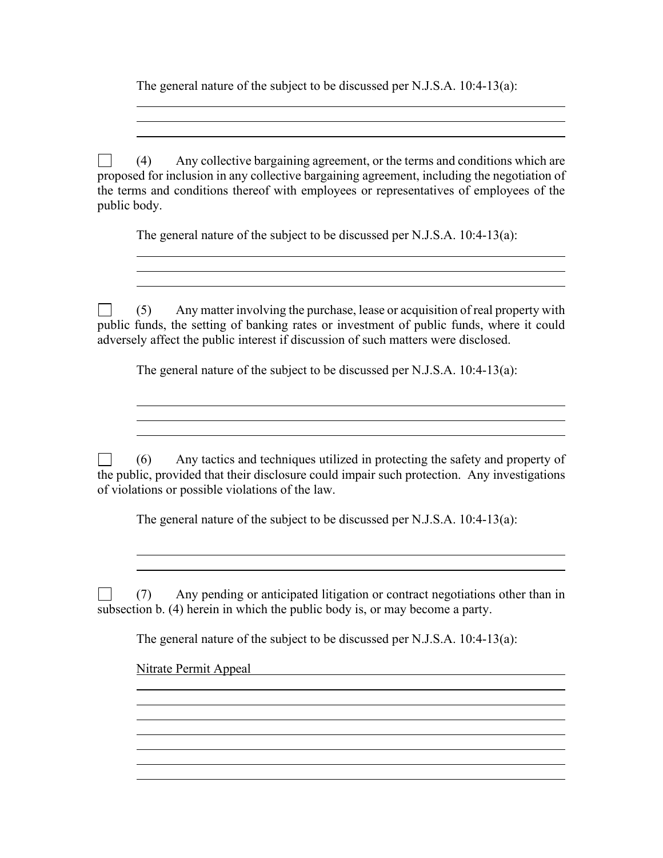The general nature of the subject to be discussed per N.J.S.A. 10:4-13(a):

 $\Box$ (4) Any collective bargaining agreement, or the terms and conditions which are proposed for inclusion in any collective bargaining agreement, including the negotiation of the terms and conditions thereof with employees or representatives of employees of the public body.

The general nature of the subject to be discussed per N.J.S.A. 10:4-13(a):

<u> 1980 - Johann Stoff, deutscher Stoff, der Stoff, der Stoff, der Stoff, der Stoff, der Stoff, der Stoff, der S</u>

 $\Box$ (5) Any matter involving the purchase, lease or acquisition of real property with public funds, the setting of banking rates or investment of public funds, where it could adversely affect the public interest if discussion of such matters were disclosed.

The general nature of the subject to be discussed per N.J.S.A. 10:4-13(a):

(6) Any tactics and techniques utilized in protecting the safety and property of  $\Box$ the public, provided that their disclosure could impair such protection. Any investigations of violations or possible violations of the law.

The general nature of the subject to be discussed per N.J.S.A. 10:4-13(a):

(7) Any pending or anticipated litigation or contract negotiations other than in  $\Box$ subsection b. (4) herein in which the public body is, or may become a party.

The general nature of the subject to be discussed per N.J.S.A. 10:4-13(a):

<u> 1980 - Johann Stoff, deutscher Stoff, der Stoff, deutscher Stoff, der Stoff, der Stoff, der Stoff, der Stoff</u>

Nitrate Permit Appeal

 $\overline{a}$ 

 $\overline{a}$ 

 $\overline{a}$ 

 $\overline{a}$ 

 $\overline{a}$ 

 $\overline{a}$ 

 $\overline{a}$